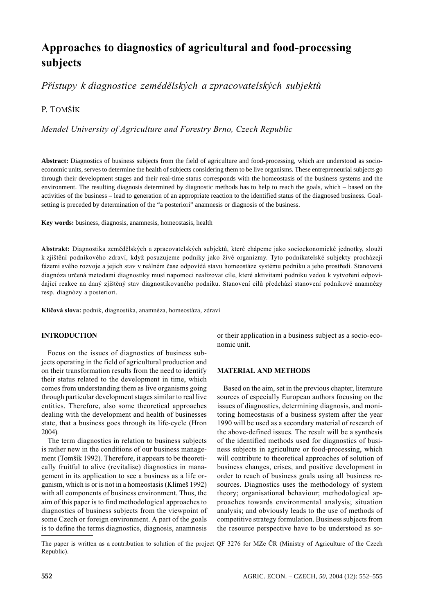# Approaches to diagnostics of agricultural and food-processing subjects

Přístupy k diagnostice zemědělských a zpracovatelských subjektů

# P TOMŠÍK

Mendel University of Agriculture and Forestry Brno, Czech Republic

**Abstract:** Diagnostics of business subjects from the field of agriculture and food-processing, which are understood as socioeconomic units, serves to determine the health of subjects considering them to be live organisms. These entrepreneurial subjects go through their development stages and their real-time status corresponds with the homeostasis of the business systems and the environment. The resulting diagnosis determined by diagnostic methods has to help to reach the goals, which – based on the activities of the business – lead to generation of an appropriate reaction to the identified status of the diagnosed business. Goalsetting is preceded by determination of the "a posteriori" anamnesis or diagnosis of the business.

**Key words:** business, diagnosis, anamnesis, homeostasis, health

Abstrakt: Diagnostika zemědělských a zpracovatelských subjektů, které chápeme jako socioekonomické jednotky, slouží k zjištění podnikového zdraví, když posuzujeme podniky jako živé organizmy. Tyto podnikatelské subjekty procházejí fázemi svého rozvoje a jejich stav v reálném čase odpovídá stavu homeostáze systému podniku a jeho prostředí. Stanovená diagnóza určená metodami diagnostiky musí napomoci realizovat cíle, které aktivitami podniku vedou k vytvoření odpovídající reakce na daný zjištěný stav diagnostikovaného podniku. Stanovení cílů předchází stanovení podnikové anamnézy resp. diagnózy a posteriori.

Klíčová slova: podnik, diagnostika, anamnéza, homeostáza, zdraví

## **INTRODUCTION**

Focus on the issues of diagnostics of business subjects operating in the field of agricultural production and on their transformation results from the need to identify their status related to the development in time, which comes from understanding them as live organisms going through particular development stages similar to real live entities. Therefore, also some theoretical approaches dealing with the development and health of businesses state, that a business goes through its life-cycle (Hron  $2004$ ).

The term diagnostics in relation to business subjects is rather new in the conditions of our business management (Tomšík 1992). Therefore, it appears to be theoretically fruitful to alive (revitalise) diagnostics in management in its application to see a business as a life organism, which is or is not in a homeostasis (Klimeš 1992) with all components of business environment. Thus, the aim of this paper is to find methodological approaches to diagnostics of business subjects from the viewpoint of some Czech or foreign environment. A part of the goals is to define the terms diagnostics, diagnosis, anamnesis or their application in a business subject as a socio-economic unit.

#### **MATERIAL AND METHODS**

Based on the aim, set in the previous chapter, literature sources of especially European authors focusing on the issues of diagnostics, determining diagnosis, and monitoring homeostasis of a business system after the year 1990 will be used as a secondary material of research of the above-defined issues. The result will be a synthesis of the identified methods used for diagnostics of business subjects in agriculture or food-processing, which will contribute to theoretical approaches of solution of business changes, crises, and positive development in order to reach of business goals using all business resources. Diagnostics uses the methodology of system theory; organisational behaviour; methodological approaches towards environmental analysis; situation analysis; and obviously leads to the use of methods of competitive strategy formulation. Business subjects from the resource perspective have to be understood as so-

The paper is written as a contribution to solution of the project QF 3276 for MZe CR (Ministry of Agriculture of the Czech Republic).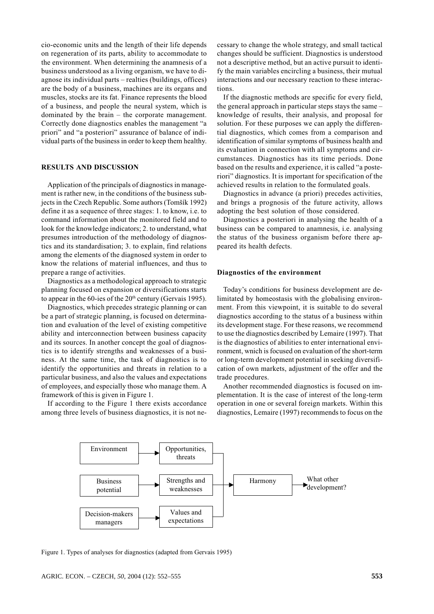cio-economic units and the length of their life depends on regeneration of its parts, ability to accommodate to the environment. When determining the anamnesis of a business understood as a living organism, we have to diagnose its individual parts – realties (buildings, offices) are the body of a business, machines are its organs and muscles, stocks are its fat. Finance represents the blood of a business, and people the neural system, which is dominated by the brain  $-$  the corporate management. Correctly done diagnostics enables the management "a priori" and "a posteriori" assurance of balance of individual parts of the business in order to keep them healthy.

#### **RESULTS AND DISCUSSION**

Application of the principals of diagnostics in management is rather new, in the conditions of the business subjects in the Czech Republic. Some authors (Tomšík 1992) define it as a sequence of three stages: 1. to know, i.e. to command information about the monitored field and to look for the knowledge indicators: 2, to understand, what presumes introduction of the methodology of diagnostics and its standardisation; 3. to explain, find relations among the elements of the diagnosed system in order to know the relations of material influences, and thus to prepare a range of activities.

Diagnostics as a methodological approach to strategic planning focused on expansion or diversifications starts to appear in the 60-ies of the 20<sup>th</sup> century (Gervais 1995).

Diagnostics, which precedes strategic planning or can be a part of strategic planning, is focused on determination and evaluation of the level of existing competitive ability and interconnection between business capacity and its sources. In another concept the goal of diagnostics is to identify strengths and weaknesses of a business. At the same time, the task of diagnostics is to identify the opportunities and threats in relation to a particular business, and also the values and expectations of employees, and especially those who manage them. A framework of this is given in Figure 1.

If according to the Figure 1 there exists accordance among three levels of business diagnostics, it is not necessary to change the whole strategy, and small tactical changes should be sufficient. Diagnostics is understood not a descriptive method, but an active pursuit to identify the main variables encircling a business, their mutual interactions and our necessary reaction to these interactions.

If the diagnostic methods are specific for every field, the general approach in particular steps stays the same – knowledge of results, their analysis, and proposal for solution. For these purposes we can apply the differential diagnostics, which comes from a comparison and identification of similar symptoms of business health and its evaluation in connection with all symptoms and circumstances. Diagnostics has its time periods. Done based on the results and experience, it is called "a posteriori" diagnostics. It is important for specification of the achieved results in relation to the formulated goals.

Diagnostics in advance (a priori) precedes activities, and brings a prognosis of the future activity, allows adopting the best solution of those considered.

Diagnostics a posteriori in analysing the health of a business can be compared to anamnesis, *i.e.* analysing the status of the business organism before there appeared its health defects.

#### Diagnostics of the environment

Today's conditions for business development are delimitated by homeostasis with the globalising environment. From this viewpoint, it is suitable to do several diagnostics according to the status of a business within its development stage. For these reasons, we recommend to use the diagnostics described by Lemaire (1997). That is the diagnostics of abilities to enter international environment, which is focused on evaluation of the short-term or long-term development potential in seeking diversification of own markets, adjustment of the offer and the trade procedures.

Another recommended diagnostics is focused on implementation. It is the case of interest of the long-term operation in one or several foreign markets. Within this diagnostics, Lemaire (1997) recommends to focus on the



Figure 1. Types of analyses for diagnostics (adapted from Gervais 1995)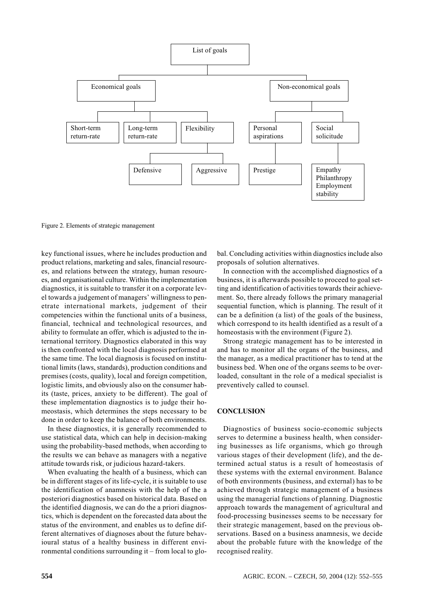

Figure 2. Elements of strategic management

key functional issues, where he includes production and product relations, marketing and sales, financial resources, and relations between the strategy, human resources, and organisational culture. Within the implementation diagnostics, it is suitable to transfer it on a corporate level towards a judgement of managers' willingness to penetrate international markets, judgement of their competencies within the functional units of a business, financial, technical and technological resources, and ability to formulate an offer, which is adjusted to the international territory. Diagnostics elaborated in this way is then confronted with the local diagnosis performed at the same time. The local diagnosis is focused on institutional limits (laws, standards), production conditions and premises (costs, quality), local and foreign competition, logistic limits, and obviously also on the consumer habits (taste, prices, anxiety to be different). The goal of these implementation diagnostics is to judge their homeostasis, which determines the steps necessary to be done in order to keep the balance of both environments.

In these diagnostics, it is generally recommended to use statistical data, which can help in decision-making using the probability-based methods, when according to the results we can behave as managers with a negative attitude towards risk, or judicious hazard-takers.

When evaluating the health of a business, which can be in different stages of its life-cycle, it is suitable to use the identification of anamnesis with the help of the a posteriori diagnostics based on historical data. Based on the identified diagnosis, we can do the a priori diagnostics, which is dependent on the forecasted data about the status of the environment, and enables us to define different alternatives of diagnoses about the future behavioural status of a healthy business in different environmental conditions surrounding it – from local to global. Concluding activities within diagnostics include also proposals of solution alternatives.

In connection with the accomplished diagnostics of a business, it is afterwards possible to proceed to goal setting and identification of activities towards their achievement. So, there already follows the primary managerial sequential function, which is planning. The result of it can be a definition (a list) of the goals of the business, which correspond to its health identified as a result of a homeostasis with the environment (Figure 2).

Strong strategic management has to be interested in and has to monitor all the organs of the business, and the manager, as a medical practitioner has to tend at the business bed. When one of the organs seems to be overloaded, consultant in the role of a medical specialist is preventively called to counsel.

#### **CONCLUSION**

Diagnostics of business socio-economic subjects serves to determine a business health, when considering businesses as life organisms, which go through various stages of their development (life), and the determined actual status is a result of homeostasis of these systems with the external environment. Balance of both environments (business, and external) has to be achieved through strategic management of a business using the managerial functions of planning. Diagnostic approach towards the management of agricultural and food-processing businesses seems to be necessary for their strategic management, based on the previous observations. Based on a business anamnesis, we decide about the probable future with the knowledge of the recognised reality.